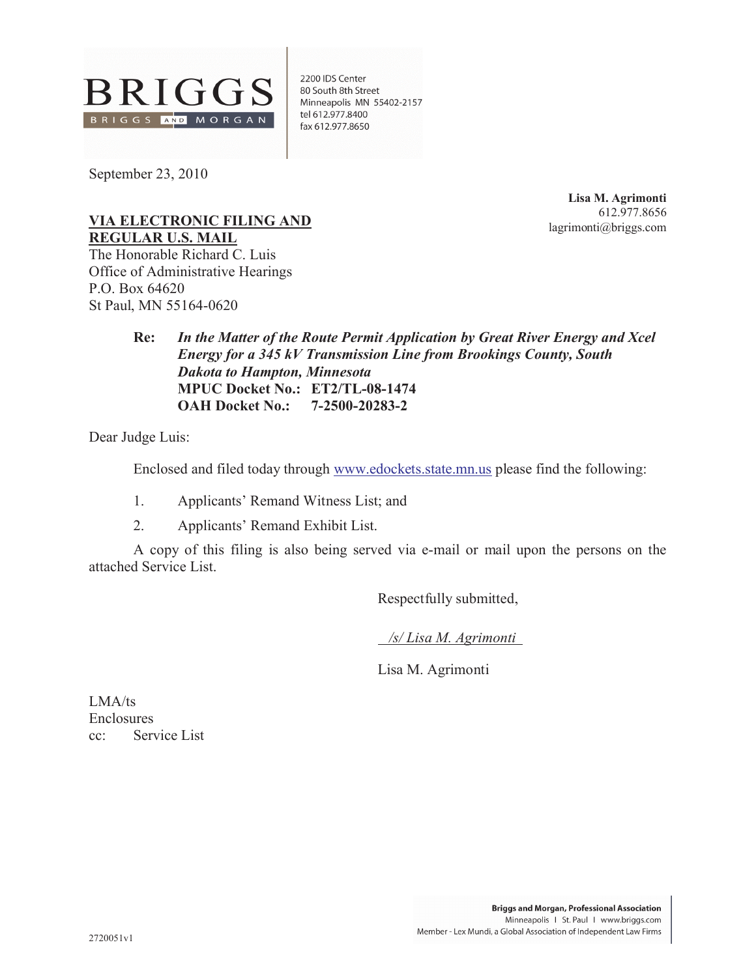

2200 IDS Center 80 South 8th Street Minneapolis MN 55402-2157 tel 612.977.8400 fax 612.977.8650

September 23, 2010

**Lisa M. Agrimonti** 612.977.8656 lagrimonti@briggs.com

#### **VIA ELECTRONIC FILING AND REGULAR U.S. MAIL**

The Honorable Richard C. Luis Office of Administrative Hearings P.O. Box 64620 St Paul, MN 55164-0620

> **Re:** *In the Matter of the Route Permit Application by Great River Energy and Xcel Energy for a 345 kV Transmission Line from Brookings County, South Dakota to Hampton, Minnesota* **MPUC Docket No.: ET2/TL-08-1474 OAH Docket No.: 7-2500-20283-2**

Dear Judge Luis:

Enclosed and filed today through www.edockets.state.mn.us please find the following:

- 1. Applicants' Remand Witness List; and
- 2. Applicants' Remand Exhibit List.

A copy of this filing is also being served via e-mail or mail upon the persons on the attached Service List.

Respectfully submitted,

*/s/ Lisa M. Agrimonti*

Lisa M. Agrimonti

LMA/ts Enclosures cc: Service List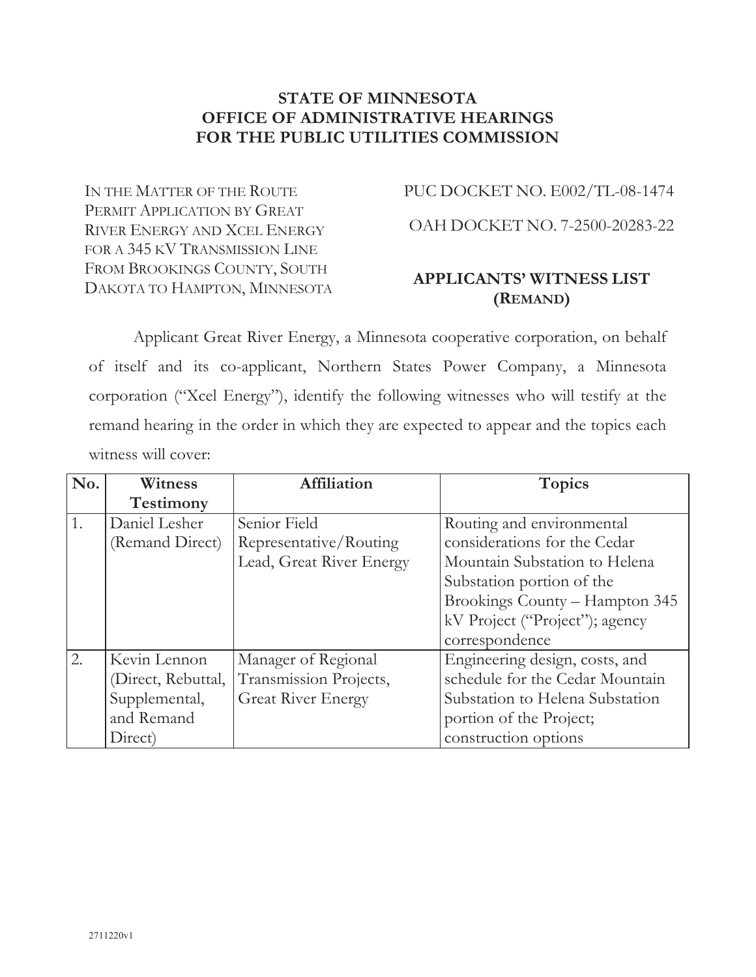### **STATE OF MINNESOTA OFFICE OF ADMINISTRATIVE HEARINGS FOR THE PUBLIC UTILITIES COMMISSION**

IN THE MATTER OF THE ROUTE PERMIT APPLICATION BY GREAT RIVER ENERGY AND XCEL ENERGY FOR A 345 KV TRANSMISSION LINE FROM BROOKINGS COUNTY, SOUTH DAKOTA TO HAMPTON, MINNESOTA PUC DOCKET NO. E002/TL-08-1474

OAH DOCKET NO. 7-2500-20283-22

# **APPLICANTS' WITNESS LIST (REMAND)**

Applicant Great River Energy, a Minnesota cooperative corporation, on behalf of itself and its co-applicant, Northern States Power Company, a Minnesota corporation ("Xcel Energy"), identify the following witnesses who will testify at the remand hearing in the order in which they are expected to appear and the topics each witness will cover:

| No. | Witness            | <b>Affiliation</b>        | <b>Topics</b>                   |  |  |
|-----|--------------------|---------------------------|---------------------------------|--|--|
|     | <b>Testimony</b>   |                           |                                 |  |  |
| 1.  | Daniel Lesher      | Senior Field              | Routing and environmental       |  |  |
|     | (Remand Direct)    | Representative/Routing    | considerations for the Cedar    |  |  |
|     |                    | Lead, Great River Energy  | Mountain Substation to Helena   |  |  |
|     |                    |                           | Substation portion of the       |  |  |
|     |                    |                           | Brookings County - Hampton 345  |  |  |
|     |                    |                           | kV Project ("Project"); agency  |  |  |
|     |                    |                           | correspondence                  |  |  |
| 2.  | Kevin Lennon       | Manager of Regional       | Engineering design, costs, and  |  |  |
|     | (Direct, Rebuttal, | Transmission Projects,    | schedule for the Cedar Mountain |  |  |
|     | Supplemental,      | <b>Great River Energy</b> | Substation to Helena Substation |  |  |
|     | and Remand         |                           | portion of the Project;         |  |  |
|     | Direct)            |                           | construction options            |  |  |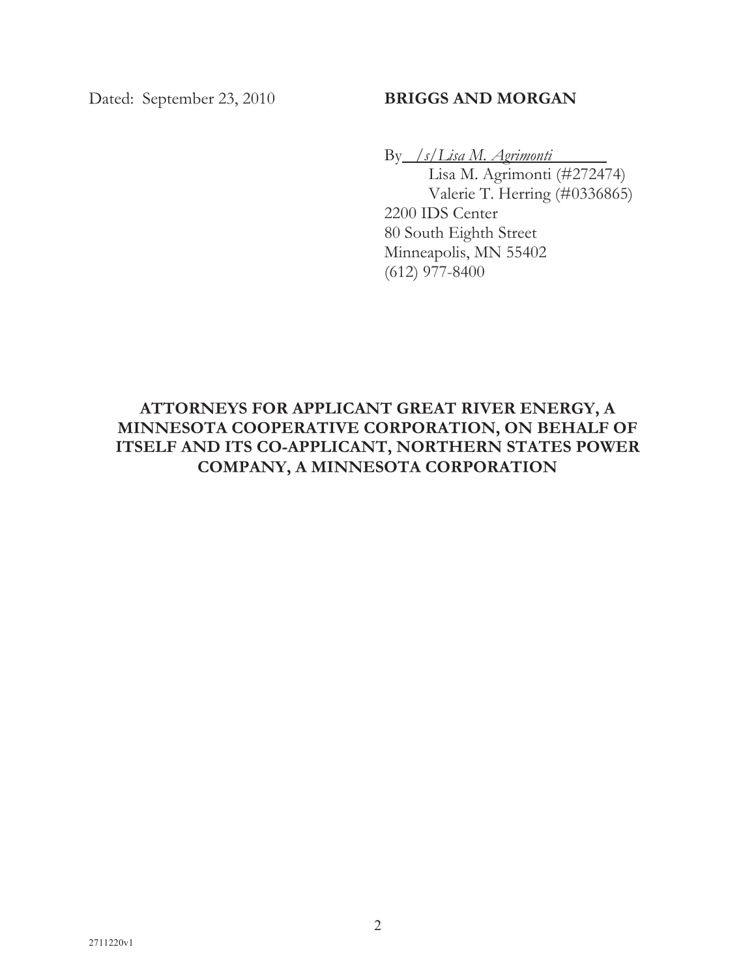### Dated: September 23, 2010 **BRIGGS AND MORGAN**

By */s/Lisa M. Agrimonti*

Lisa M. Agrimonti (#272474) Valerie T. Herring (#0336865) 2200 IDS Center 80 South Eighth Street Minneapolis, MN 55402 (612) 977-8400

# **ATTORNEYS FOR APPLICANT GREAT RIVER ENERGY, A MINNESOTA COOPERATIVE CORPORATION, ON BEHALF OF ITSELF AND ITS CO-APPLICANT, NORTHERN STATES POWER COMPANY, A MINNESOTA CORPORATION**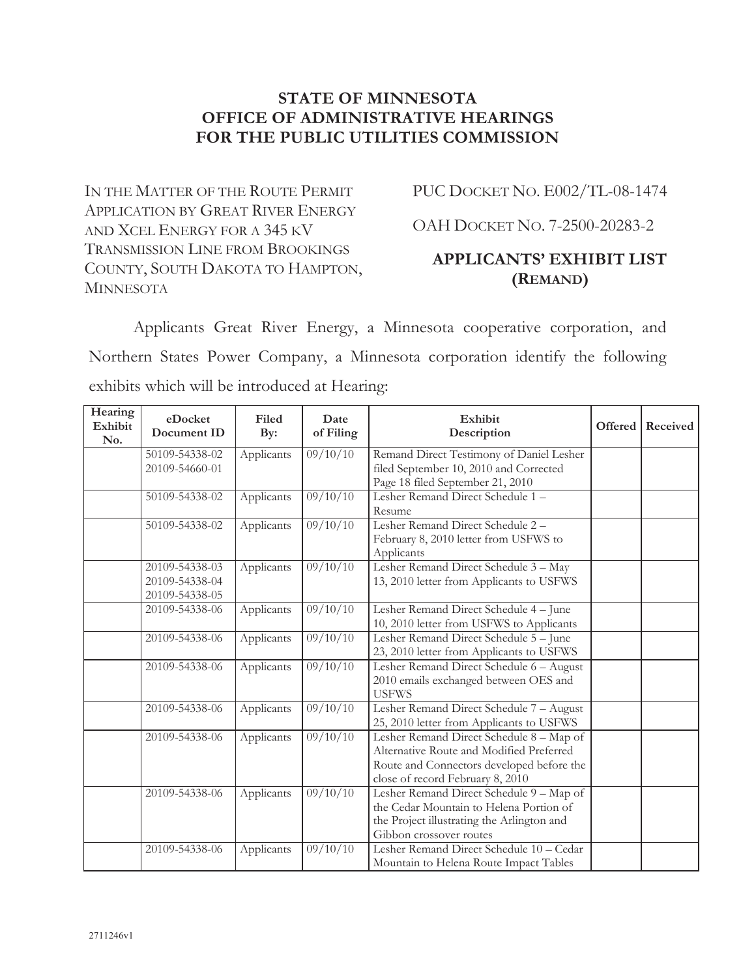### **STATE OF MINNESOTA OFFICE OF ADMINISTRATIVE HEARINGS FOR THE PUBLIC UTILITIES COMMISSION**

IN THE MATTER OF THE ROUTE PERMIT APPLICATION BY GREAT RIVER ENERGY AND XCEL ENERGY FOR A 345 KV TRANSMISSION LINE FROM BROOKINGS COUNTY, SOUTH DAKOTA TO HAMPTON, **MINNESOTA** 

PUC DOCKET NO. E002/TL-08-1474

OAH DOCKET NO. 7-2500-20283-2

# **APPLICANTS' EXHIBIT LIST (REMAND)**

Applicants Great River Energy, a Minnesota cooperative corporation, and Northern States Power Company, a Minnesota corporation identify the following exhibits which will be introduced at Hearing:

| Hearing<br>Exhibit<br>No. | eDocket<br>Document ID | Filed<br>By: | Date<br>of Filing   | Exhibit<br>Description                              | Offered | Received |
|---------------------------|------------------------|--------------|---------------------|-----------------------------------------------------|---------|----------|
|                           | 50109-54338-02         | Applicants   | $\frac{09}{10}{10}$ | Remand Direct Testimony of Daniel Lesher            |         |          |
|                           | 20109-54660-01         |              |                     | filed September 10, 2010 and Corrected              |         |          |
|                           |                        |              |                     | Page 18 filed September 21, 2010                    |         |          |
|                           | 50109-54338-02         | Applicants   | 09/10/10            | Lesher Remand Direct Schedule 1 -                   |         |          |
|                           |                        |              |                     | Resume                                              |         |          |
|                           | 50109-54338-02         | Applicants   | $\frac{09}{10}{10}$ | Lesher Remand Direct Schedule 2 -                   |         |          |
|                           |                        |              |                     | February 8, 2010 letter from USFWS to               |         |          |
|                           | 20109-54338-03         | Applicants   | 09/10/10            | Applicants<br>Lesher Remand Direct Schedule 3 - May |         |          |
|                           | 20109-54338-04         |              |                     | 13, 2010 letter from Applicants to USFWS            |         |          |
|                           | 20109-54338-05         |              |                     |                                                     |         |          |
|                           | 20109-54338-06         | Applicants   | 09/10/10            | Lesher Remand Direct Schedule 4 - June              |         |          |
|                           |                        |              |                     | 10, 2010 letter from USFWS to Applicants            |         |          |
|                           | 20109-54338-06         | Applicants   | 09/10/10            | Lesher Remand Direct Schedule 5 - June              |         |          |
|                           |                        |              |                     | 23, 2010 letter from Applicants to USFWS            |         |          |
|                           | 20109-54338-06         | Applicants   | 09/10/10            | Lesher Remand Direct Schedule 6 - August            |         |          |
|                           |                        |              |                     | 2010 emails exchanged between OES and               |         |          |
|                           |                        |              |                     | <b>USFWS</b>                                        |         |          |
|                           | 20109-54338-06         | Applicants   | $\frac{09}{10}{10}$ | Lesher Remand Direct Schedule 7 - August            |         |          |
|                           |                        |              |                     | 25, 2010 letter from Applicants to USFWS            |         |          |
|                           | 20109-54338-06         | Applicants   | 09/10/10            | Lesher Remand Direct Schedule 8 - Map of            |         |          |
|                           |                        |              |                     | Alternative Route and Modified Preferred            |         |          |
|                           |                        |              |                     | Route and Connectors developed before the           |         |          |
|                           |                        |              |                     | close of record February 8, 2010                    |         |          |
|                           | 20109-54338-06         | Applicants   | 09/10/10            | Lesher Remand Direct Schedule 9 - Map of            |         |          |
|                           |                        |              |                     | the Cedar Mountain to Helena Portion of             |         |          |
|                           |                        |              |                     | the Project illustrating the Arlington and          |         |          |
|                           |                        |              |                     | Gibbon crossover routes                             |         |          |
|                           | 20109-54338-06         | Applicants   | 09/10/10            | Lesher Remand Direct Schedule 10 - Cedar            |         |          |
|                           |                        |              |                     | Mountain to Helena Route Impact Tables              |         |          |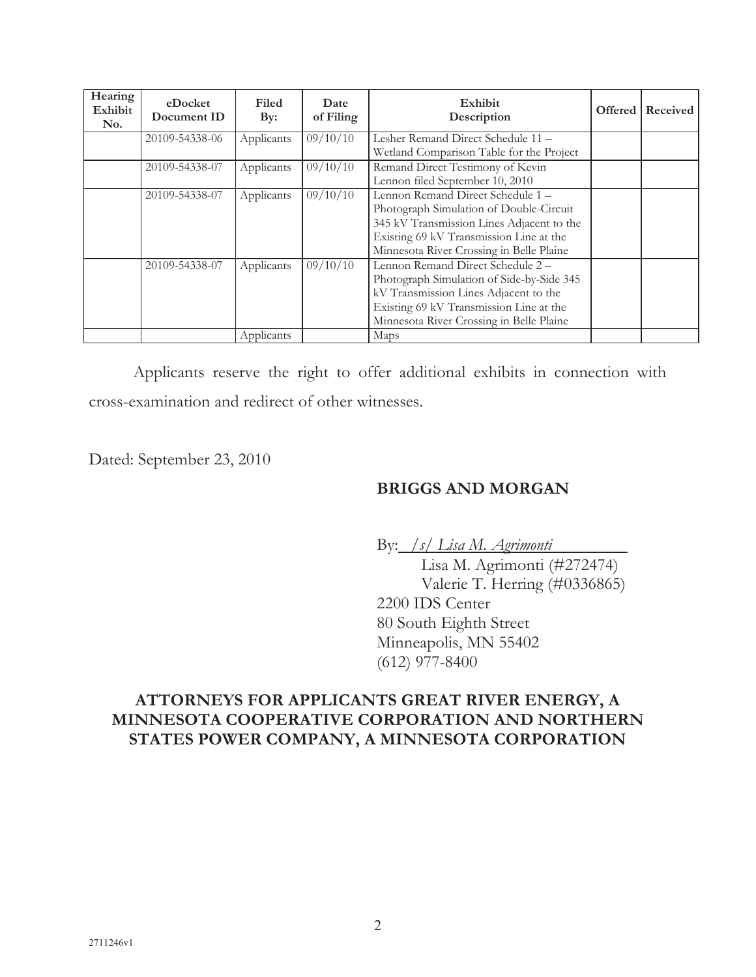| Hearing<br>Exhibit<br>No. | eDocket<br>Document ID | Filed<br>$\mathbf{By:}$ | Date<br>of Filing | Exhibit<br>Description                    | Offered | Received |
|---------------------------|------------------------|-------------------------|-------------------|-------------------------------------------|---------|----------|
|                           | 20109-54338-06         | Applicants              | 09/10/10          | Lesher Remand Direct Schedule 11 -        |         |          |
|                           |                        |                         |                   | Wetland Comparison Table for the Project  |         |          |
|                           | 20109-54338-07         | Applicants              | 09/10/10          | Remand Direct Testimony of Kevin          |         |          |
|                           |                        |                         |                   | Lennon filed September 10, 2010           |         |          |
|                           | 20109-54338-07         | Applicants              | 09/10/10          | Lennon Remand Direct Schedule 1 -         |         |          |
|                           |                        |                         |                   | Photograph Simulation of Double-Circuit   |         |          |
|                           |                        |                         |                   | 345 kV Transmission Lines Adjacent to the |         |          |
|                           |                        |                         |                   | Existing 69 kV Transmission Line at the   |         |          |
|                           |                        |                         |                   | Minnesota River Crossing in Belle Plaine  |         |          |
|                           | 20109-54338-07         | Applicants              | 09/10/10          | Lennon Remand Direct Schedule 2 -         |         |          |
|                           |                        |                         |                   | Photograph Simulation of Side-by-Side 345 |         |          |
|                           |                        |                         |                   | kV Transmission Lines Adjacent to the     |         |          |
|                           |                        |                         |                   | Existing 69 kV Transmission Line at the   |         |          |
|                           |                        |                         |                   | Minnesota River Crossing in Belle Plaine  |         |          |
|                           |                        | Applicants              |                   | Maps                                      |         |          |

Applicants reserve the right to offer additional exhibits in connection with cross-examination and redirect of other witnesses.

Dated: September 23, 2010

### **BRIGGS AND MORGAN**

By: */s/ Lisa M. Agrimonti* 

Lisa M. Agrimonti (#272474) Valerie T. Herring (#0336865) 2200 IDS Center 80 South Eighth Street Minneapolis, MN 55402 (612) 977-8400

# **ATTORNEYS FOR APPLICANTS GREAT RIVER ENERGY, A MINNESOTA COOPERATIVE CORPORATION AND NORTHERN STATES POWER COMPANY, A MINNESOTA CORPORATION**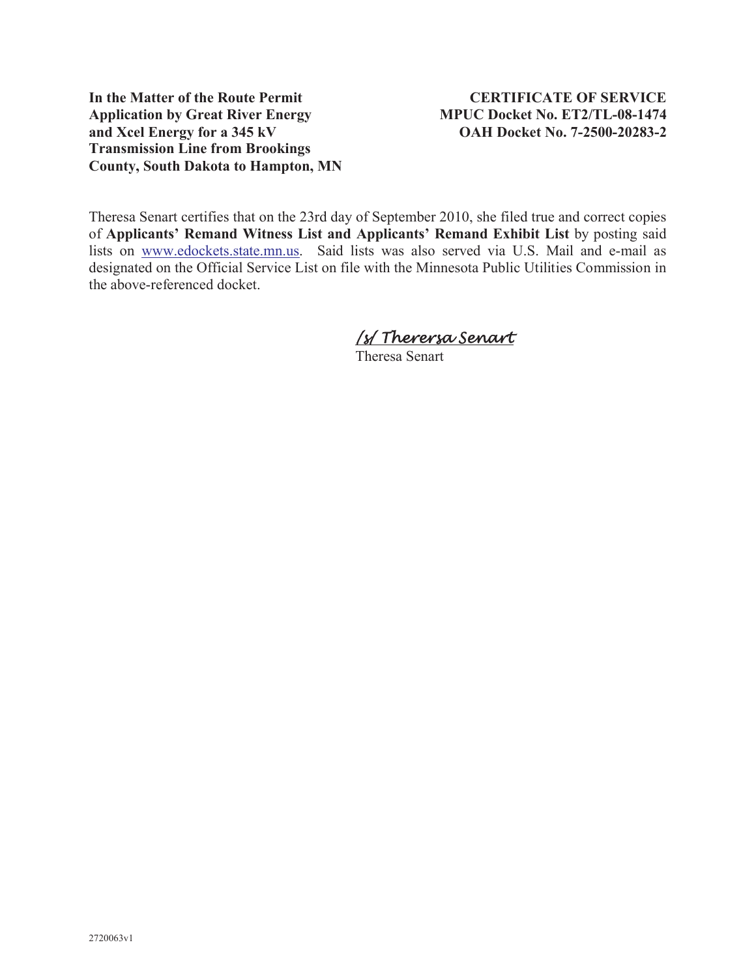**In the Matter of the Route Permit CERTIFICATE OF SERVICE Application by Great River Energy MPUC Docket No. ET2/TL-08-1474 and Xcel Energy for a 345 kV OAH Docket No. 7-2500-20283-2 Transmission Line from Brookings County, South Dakota to Hampton, MN**

Theresa Senart certifies that on the 23rd day of September 2010, she filed true and correct copies of **Applicants' Remand Witness List and Applicants' Remand Exhibit List** by posting said lists on www.edockets.state.mn.us. Said lists was also served via U.S. Mail and e-mail as designated on the Official Service List on file with the Minnesota Public Utilities Commission in the above-referenced docket.

# /s/ Therersa Senart

Theresa Senart